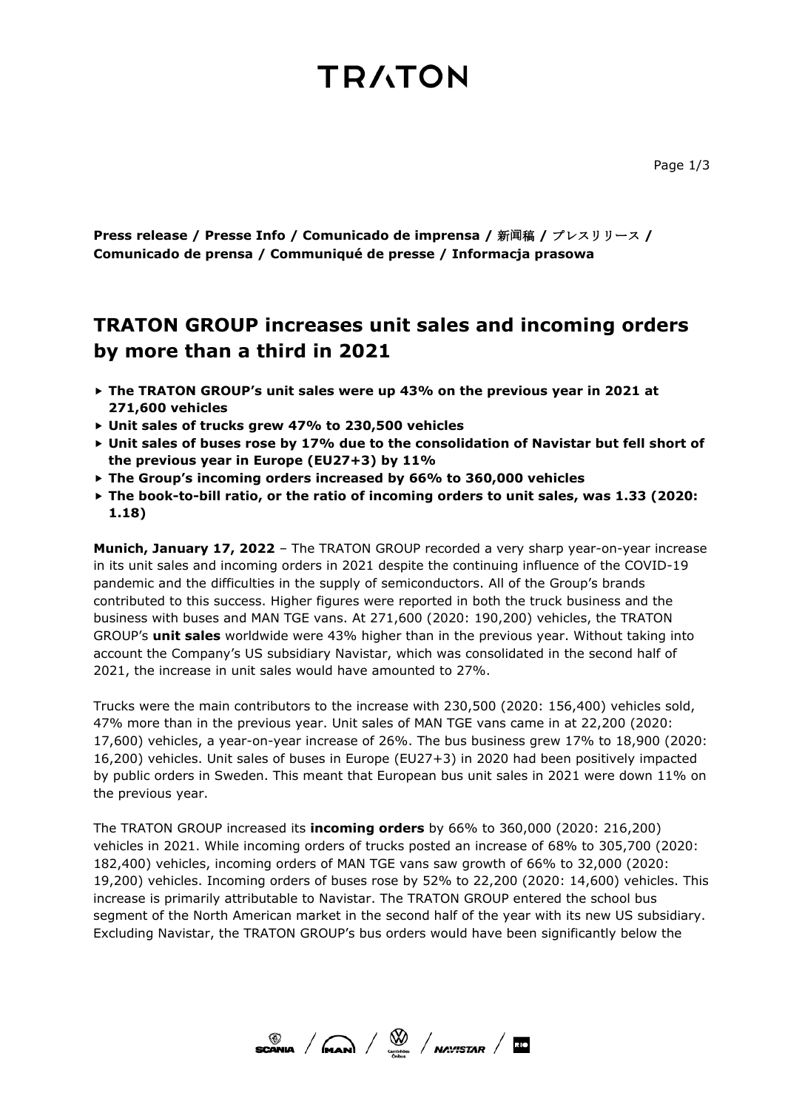### **TRATON**

**Press release / Presse Info / Comunicado de imprensa /** 新**闻**稿 **/** プレスリリース **/ Comunicado de prensa / Communiqué de presse / Informacja prasowa**

### **TRATON GROUP increases unit sales and incoming orders by more than a third in 2021**

- **The TRATON GROUP's unit sales were up 43% on the previous year in 2021 at 271,600 vehicles**
- **Unit sales of trucks grew 47% to 230,500 vehicles**
- **Unit sales of buses rose by 17% due to the consolidation of Navistar but fell short of the previous year in Europe (EU27+3) by 11%**
- **The Group's incoming orders increased by 66% to 360,000 vehicles**
- **The book-to-bill ratio, or the ratio of incoming orders to unit sales, was 1.33 (2020: 1.18)**

**Munich, January 17, 2022** – The TRATON GROUP recorded a very sharp year-on-year increase in its unit sales and incoming orders in 2021 despite the continuing influence of the COVID-19 pandemic and the difficulties in the supply of semiconductors. All of the Group's brands contributed to this success. Higher figures were reported in both the truck business and the business with buses and MAN TGE vans. At 271,600 (2020: 190,200) vehicles, the TRATON GROUP's **unit sales** worldwide were 43% higher than in the previous year. Without taking into account the Company's US subsidiary Navistar, which was consolidated in the second half of 2021, the increase in unit sales would have amounted to 27%.

Trucks were the main contributors to the increase with 230,500 (2020: 156,400) vehicles sold, 47% more than in the previous year. Unit sales of MAN TGE vans came in at 22,200 (2020: 17,600) vehicles, a year-on-year increase of 26%. The bus business grew 17% to 18,900 (2020: 16,200) vehicles. Unit sales of buses in Europe (EU27+3) in 2020 had been positively impacted by public orders in Sweden. This meant that European bus unit sales in 2021 were down 11% on the previous year.

The TRATON GROUP increased its **incoming orders** by 66% to 360,000 (2020: 216,200) vehicles in 2021. While incoming orders of trucks posted an increase of 68% to 305,700 (2020: 182,400) vehicles, incoming orders of MAN TGE vans saw growth of 66% to 32,000 (2020: 19,200) vehicles. Incoming orders of buses rose by 52% to 22,200 (2020: 14,600) vehicles. This increase is primarily attributable to Navistar. The TRATON GROUP entered the school bus segment of the North American market in the second half of the year with its new US subsidiary. Excluding Navistar, the TRATON GROUP's bus orders would have been significantly below the

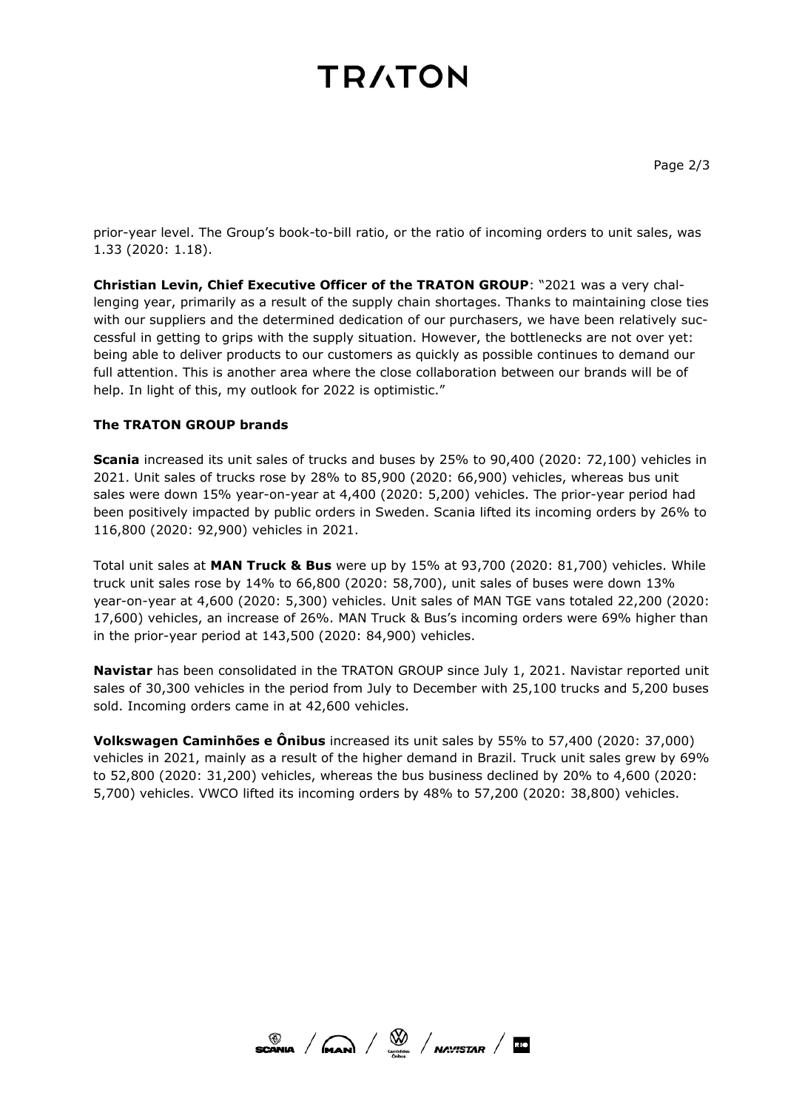# **TRATON**

prior-year level. The Group's book-to-bill ratio, or the ratio of incoming orders to unit sales, was 1.33 (2020: 1.18).

**Christian Levin, Chief Executive Officer of the TRATON GROUP**: "2021 was a very challenging year, primarily as a result of the supply chain shortages. Thanks to maintaining close ties with our suppliers and the determined dedication of our purchasers, we have been relatively successful in getting to grips with the supply situation. However, the bottlenecks are not over yet: being able to deliver products to our customers as quickly as possible continues to demand our full attention. This is another area where the close collaboration between our brands will be of help. In light of this, my outlook for 2022 is optimistic."

### **The TRATON GROUP brands**

**Scania** increased its unit sales of trucks and buses by 25% to 90,400 (2020: 72,100) vehicles in 2021. Unit sales of trucks rose by 28% to 85,900 (2020: 66,900) vehicles, whereas bus unit sales were down 15% year-on-year at 4,400 (2020: 5,200) vehicles. The prior-year period had been positively impacted by public orders in Sweden. Scania lifted its incoming orders by 26% to 116,800 (2020: 92,900) vehicles in 2021.

Total unit sales at **MAN Truck & Bus** were up by 15% at 93,700 (2020: 81,700) vehicles. While truck unit sales rose by 14% to 66,800 (2020: 58,700), unit sales of buses were down 13% year-on-year at 4,600 (2020: 5,300) vehicles. Unit sales of MAN TGE vans totaled 22,200 (2020: 17,600) vehicles, an increase of 26%. MAN Truck & Bus's incoming orders were 69% higher than in the prior-year period at 143,500 (2020: 84,900) vehicles.

**Navistar** has been consolidated in the TRATON GROUP since July 1, 2021. Navistar reported unit sales of 30,300 vehicles in the period from July to December with 25,100 trucks and 5,200 buses sold. Incoming orders came in at 42,600 vehicles.

**Volkswagen Caminhões e Ônibus** increased its unit sales by 55% to 57,400 (2020: 37,000) vehicles in 2021, mainly as a result of the higher demand in Brazil. Truck unit sales grew by 69% to 52,800 (2020: 31,200) vehicles, whereas the bus business declined by 20% to 4,600 (2020: 5,700) vehicles. VWCO lifted its incoming orders by 48% to 57,200 (2020: 38,800) vehicles.